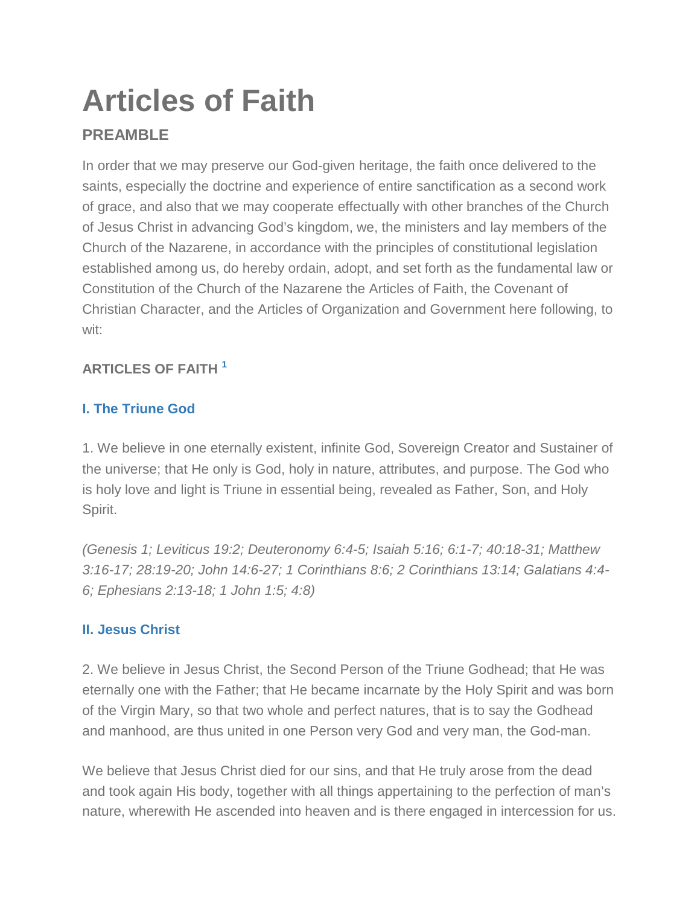# **Articles of Faith**

# **PREAMBLE**

In order that we may preserve our God-given heritage, the faith once delivered to the saints, especially the doctrine and experience of entire sanctification as a second work of grace, and also that we may cooperate effectually with other branches of the Church of Jesus Christ in advancing God's kingdom, we, the ministers and lay members of the Church of the Nazarene, in accordance with the principles of constitutional legislation established among us, do hereby ordain, adopt, and set forth as the fundamental law or Constitution of the Church of the Nazarene the Articles of Faith, the Covenant of Christian Character, and the Articles of Organization and Government here following, to wit:

# **ARTICLES OF FAITH [1](http://www.nazarene.org/en/articles-faith%231)**

# **[I. The Triune God](http://nazarene.org/articles-faith)**

1. We believe in one eternally existent, infinite God, Sovereign Creator and Sustainer of the universe; that He only is God, holy in nature, attributes, and purpose. The God who is holy love and light is Triune in essential being, revealed as Father, Son, and Holy Spirit.

*(Genesis 1; Leviticus 19:2; Deuteronomy 6:4-5; Isaiah 5:16; 6:1-7; 40:18-31; Matthew 3:16-17; 28:19-20; John 14:6-27; 1 Corinthians 8:6; 2 Corinthians 13:14; Galatians 4:4- 6; Ephesians 2:13-18; 1 John 1:5; 4:8)*

# **[II. Jesus Christ](http://nazarene.org/articles-faith)**

2. We believe in Jesus Christ, the Second Person of the Triune Godhead; that He was eternally one with the Father; that He became incarnate by the Holy Spirit and was born of the Virgin Mary, so that two whole and perfect natures, that is to say the Godhead and manhood, are thus united in one Person very God and very man, the God-man.

We believe that Jesus Christ died for our sins, and that He truly arose from the dead and took again His body, together with all things appertaining to the perfection of man's nature, wherewith He ascended into heaven and is there engaged in intercession for us.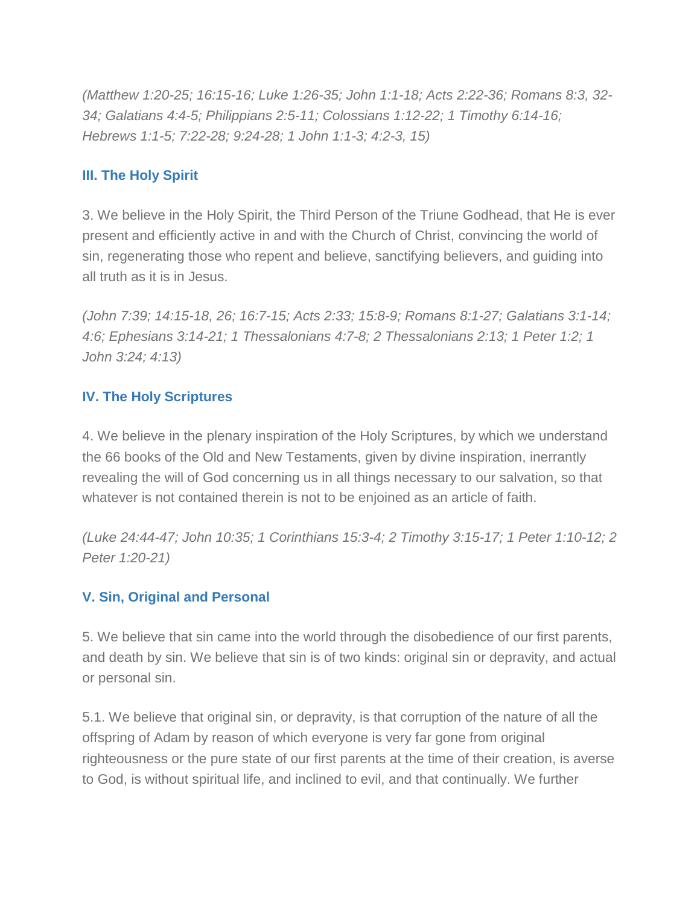*(Matthew 1:20-25; 16:15-16; Luke 1:26-35; John 1:1-18; Acts 2:22-36; Romans 8:3, 32- 34; Galatians 4:4-5; Philippians 2:5-11; Colossians 1:12-22; 1 Timothy 6:14-16; Hebrews 1:1-5; 7:22-28; 9:24-28; 1 John 1:1-3; 4:2-3, 15)*

#### **[III. The Holy Spirit](http://nazarene.org/articles-faith)**

3. We believe in the Holy Spirit, the Third Person of the Triune Godhead, that He is ever present and efficiently active in and with the Church of Christ, convincing the world of sin, regenerating those who repent and believe, sanctifying believers, and guiding into all truth as it is in Jesus.

*(John 7:39; 14:15-18, 26; 16:7-15; Acts 2:33; 15:8-9; Romans 8:1-27; Galatians 3:1-14; 4:6; Ephesians 3:14-21; 1 Thessalonians 4:7-8; 2 Thessalonians 2:13; 1 Peter 1:2; 1 John 3:24; 4:13)*

#### **[IV. The Holy Scriptures](http://nazarene.org/articles-faith)**

4. We believe in the plenary inspiration of the Holy Scriptures, by which we understand the 66 books of the Old and New Testaments, given by divine inspiration, inerrantly revealing the will of God concerning us in all things necessary to our salvation, so that whatever is not contained therein is not to be enjoined as an article of faith.

*(Luke 24:44-47; John 10:35; 1 Corinthians 15:3-4; 2 Timothy 3:15-17; 1 Peter 1:10-12; 2 Peter 1:20-21)*

#### **[V. Sin, Original and Personal](http://nazarene.org/articles-faith)**

5. We believe that sin came into the world through the disobedience of our first parents, and death by sin. We believe that sin is of two kinds: original sin or depravity, and actual or personal sin.

5.1. We believe that original sin, or depravity, is that corruption of the nature of all the offspring of Adam by reason of which everyone is very far gone from original righteousness or the pure state of our first parents at the time of their creation, is averse to God, is without spiritual life, and inclined to evil, and that continually. We further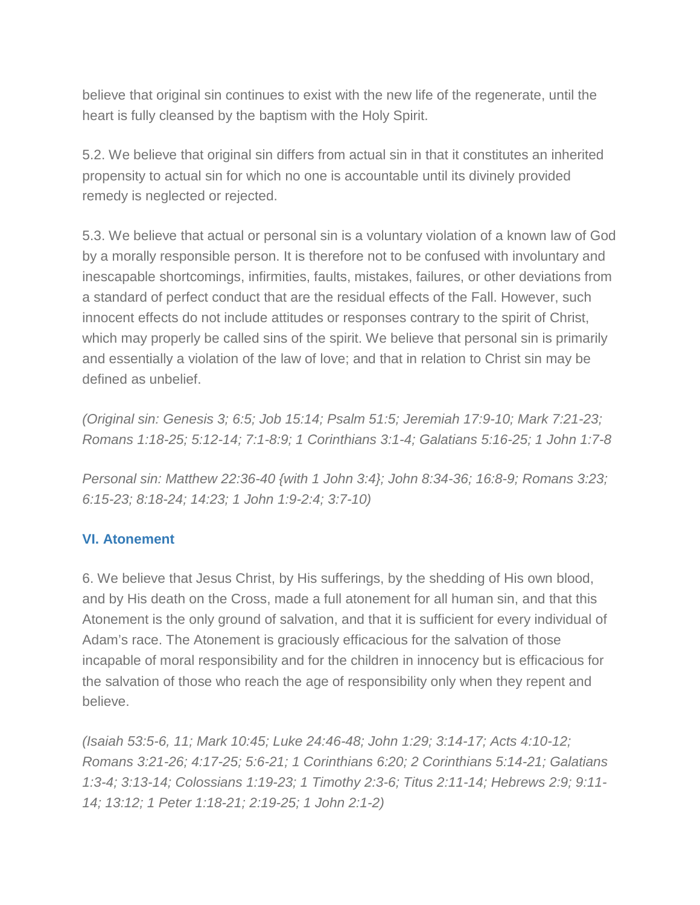believe that original sin continues to exist with the new life of the regenerate, until the heart is fully cleansed by the baptism with the Holy Spirit.

5.2. We believe that original sin differs from actual sin in that it constitutes an inherited propensity to actual sin for which no one is accountable until its divinely provided remedy is neglected or rejected.

5.3. We believe that actual or personal sin is a voluntary violation of a known law of God by a morally responsible person. It is therefore not to be confused with involuntary and inescapable shortcomings, infirmities, faults, mistakes, failures, or other deviations from a standard of perfect conduct that are the residual effects of the Fall. However, such innocent effects do not include attitudes or responses contrary to the spirit of Christ, which may properly be called sins of the spirit. We believe that personal sin is primarily and essentially a violation of the law of love; and that in relation to Christ sin may be defined as unbelief.

*(Original sin: Genesis 3; 6:5; Job 15:14; Psalm 51:5; Jeremiah 17:9-10; Mark 7:21-23; Romans 1:18-25; 5:12-14; 7:1-8:9; 1 Corinthians 3:1-4; Galatians 5:16-25; 1 John 1:7-8*

*Personal sin: Matthew 22:36-40 {with 1 John 3:4}; John 8:34-36; 16:8-9; Romans 3:23; 6:15-23; 8:18-24; 14:23; 1 John 1:9-2:4; 3:7-10)*

#### **[VI. Atonement](http://nazarene.org/articles-faith)**

6. We believe that Jesus Christ, by His sufferings, by the shedding of His own blood, and by His death on the Cross, made a full atonement for all human sin, and that this Atonement is the only ground of salvation, and that it is sufficient for every individual of Adam's race. The Atonement is graciously efficacious for the salvation of those incapable of moral responsibility and for the children in innocency but is efficacious for the salvation of those who reach the age of responsibility only when they repent and believe.

*(Isaiah 53:5-6, 11; Mark 10:45; Luke 24:46-48; John 1:29; 3:14-17; Acts 4:10-12; Romans 3:21-26; 4:17-25; 5:6-21; 1 Corinthians 6:20; 2 Corinthians 5:14-21; Galatians 1:3-4; 3:13-14; Colossians 1:19-23; 1 Timothy 2:3-6; Titus 2:11-14; Hebrews 2:9; 9:11- 14; 13:12; 1 Peter 1:18-21; 2:19-25; 1 John 2:1-2)*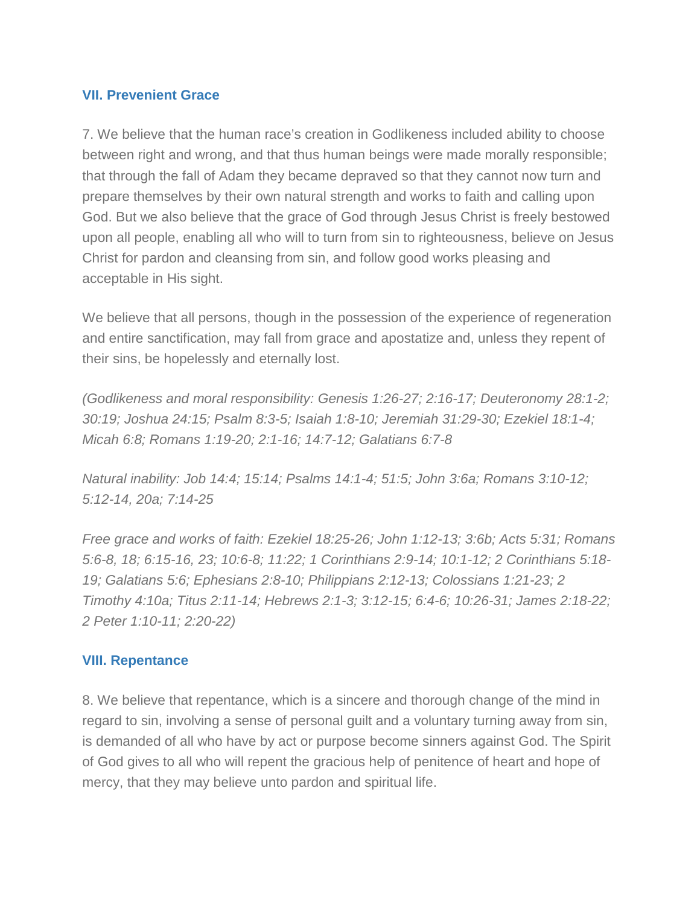#### **[VII. Prevenient Grace](http://nazarene.org/articles-faith)**

7. We believe that the human race's creation in Godlikeness included ability to choose between right and wrong, and that thus human beings were made morally responsible; that through the fall of Adam they became depraved so that they cannot now turn and prepare themselves by their own natural strength and works to faith and calling upon God. But we also believe that the grace of God through Jesus Christ is freely bestowed upon all people, enabling all who will to turn from sin to righteousness, believe on Jesus Christ for pardon and cleansing from sin, and follow good works pleasing and acceptable in His sight.

We believe that all persons, though in the possession of the experience of regeneration and entire sanctification, may fall from grace and apostatize and, unless they repent of their sins, be hopelessly and eternally lost.

*(Godlikeness and moral responsibility: Genesis 1:26-27; 2:16-17; Deuteronomy 28:1-2; 30:19; Joshua 24:15; Psalm 8:3-5; Isaiah 1:8-10; Jeremiah 31:29-30; Ezekiel 18:1-4; Micah 6:8; Romans 1:19-20; 2:1-16; 14:7-12; Galatians 6:7-8*

*Natural inability: Job 14:4; 15:14; Psalms 14:1-4; 51:5; John 3:6a; Romans 3:10-12; 5:12-14, 20a; 7:14-25*

*Free grace and works of faith: Ezekiel 18:25-26; John 1:12-13; 3:6b; Acts 5:31; Romans 5:6-8, 18; 6:15-16, 23; 10:6-8; 11:22; 1 Corinthians 2:9-14; 10:1-12; 2 Corinthians 5:18- 19; Galatians 5:6; Ephesians 2:8-10; Philippians 2:12-13; Colossians 1:21-23; 2 Timothy 4:10a; Titus 2:11-14; Hebrews 2:1-3; 3:12-15; 6:4-6; 10:26-31; James 2:18-22; 2 Peter 1:10-11; 2:20-22)*

#### **[VIII. Repentance](http://nazarene.org/articles-faith)**

8. We believe that repentance, which is a sincere and thorough change of the mind in regard to sin, involving a sense of personal guilt and a voluntary turning away from sin, is demanded of all who have by act or purpose become sinners against God. The Spirit of God gives to all who will repent the gracious help of penitence of heart and hope of mercy, that they may believe unto pardon and spiritual life.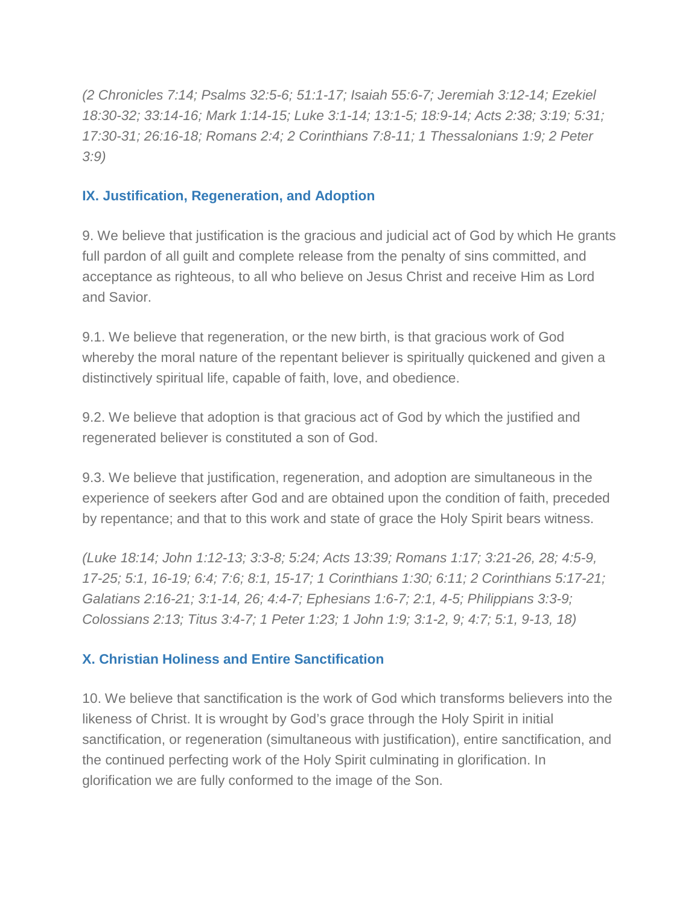*(2 Chronicles 7:14; Psalms 32:5-6; 51:1-17; Isaiah 55:6-7; Jeremiah 3:12-14; Ezekiel 18:30-32; 33:14-16; Mark 1:14-15; Luke 3:1-14; 13:1-5; 18:9-14; Acts 2:38; 3:19; 5:31; 17:30-31; 26:16-18; Romans 2:4; 2 Corinthians 7:8-11; 1 Thessalonians 1:9; 2 Peter 3:9)*

# **[IX. Justification, Regeneration, and Adoption](http://nazarene.org/articles-faith)**

9. We believe that justification is the gracious and judicial act of God by which He grants full pardon of all guilt and complete release from the penalty of sins committed, and acceptance as righteous, to all who believe on Jesus Christ and receive Him as Lord and Savior.

9.1. We believe that regeneration, or the new birth, is that gracious work of God whereby the moral nature of the repentant believer is spiritually quickened and given a distinctively spiritual life, capable of faith, love, and obedience.

9.2. We believe that adoption is that gracious act of God by which the justified and regenerated believer is constituted a son of God.

9.3. We believe that justification, regeneration, and adoption are simultaneous in the experience of seekers after God and are obtained upon the condition of faith, preceded by repentance; and that to this work and state of grace the Holy Spirit bears witness.

*(Luke 18:14; John 1:12-13; 3:3-8; 5:24; Acts 13:39; Romans 1:17; 3:21-26, 28; 4:5-9, 17-25; 5:1, 16-19; 6:4; 7:6; 8:1, 15-17; 1 Corinthians 1:30; 6:11; 2 Corinthians 5:17-21; Galatians 2:16-21; 3:1-14, 26; 4:4-7; Ephesians 1:6-7; 2:1, 4-5; Philippians 3:3-9; Colossians 2:13; Titus 3:4-7; 1 Peter 1:23; 1 John 1:9; 3:1-2, 9; 4:7; 5:1, 9-13, 18)*

# **[X. Christian Holiness and Entire Sanctification](http://nazarene.org/articles-faith)**

10. We believe that sanctification is the work of God which transforms believers into the likeness of Christ. It is wrought by God's grace through the Holy Spirit in initial sanctification, or regeneration (simultaneous with justification), entire sanctification, and the continued perfecting work of the Holy Spirit culminating in glorification. In glorification we are fully conformed to the image of the Son.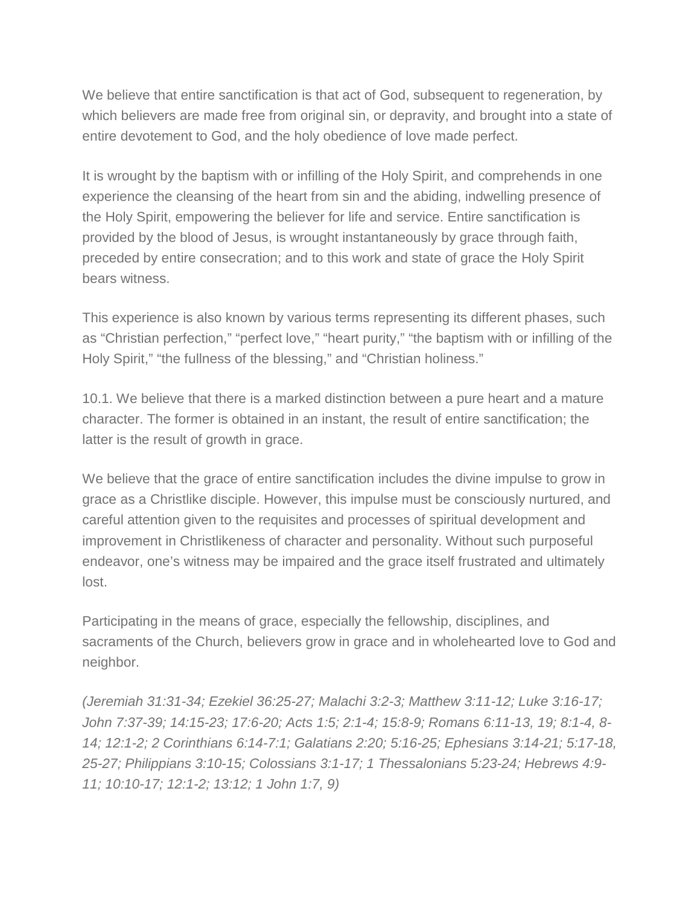We believe that entire sanctification is that act of God, subsequent to regeneration, by which believers are made free from original sin, or depravity, and brought into a state of entire devotement to God, and the holy obedience of love made perfect.

It is wrought by the baptism with or infilling of the Holy Spirit, and comprehends in one experience the cleansing of the heart from sin and the abiding, indwelling presence of the Holy Spirit, empowering the believer for life and service. Entire sanctification is provided by the blood of Jesus, is wrought instantaneously by grace through faith, preceded by entire consecration; and to this work and state of grace the Holy Spirit bears witness.

This experience is also known by various terms representing its different phases, such as "Christian perfection," "perfect love," "heart purity," "the baptism with or infilling of the Holy Spirit," "the fullness of the blessing," and "Christian holiness."

10.1. We believe that there is a marked distinction between a pure heart and a mature character. The former is obtained in an instant, the result of entire sanctification; the latter is the result of growth in grace.

We believe that the grace of entire sanctification includes the divine impulse to grow in grace as a Christlike disciple. However, this impulse must be consciously nurtured, and careful attention given to the requisites and processes of spiritual development and improvement in Christlikeness of character and personality. Without such purposeful endeavor, one's witness may be impaired and the grace itself frustrated and ultimately lost.

Participating in the means of grace, especially the fellowship, disciplines, and sacraments of the Church, believers grow in grace and in wholehearted love to God and neighbor.

*(Jeremiah 31:31-34; Ezekiel 36:25-27; Malachi 3:2-3; Matthew 3:11-12; Luke 3:16-17; John 7:37-39; 14:15-23; 17:6-20; Acts 1:5; 2:1-4; 15:8-9; Romans 6:11-13, 19; 8:1-4, 8- 14; 12:1-2; 2 Corinthians 6:14-7:1; Galatians 2:20; 5:16-25; Ephesians 3:14-21; 5:17-18, 25-27; Philippians 3:10-15; Colossians 3:1-17; 1 Thessalonians 5:23-24; Hebrews 4:9- 11; 10:10-17; 12:1-2; 13:12; 1 John 1:7, 9)*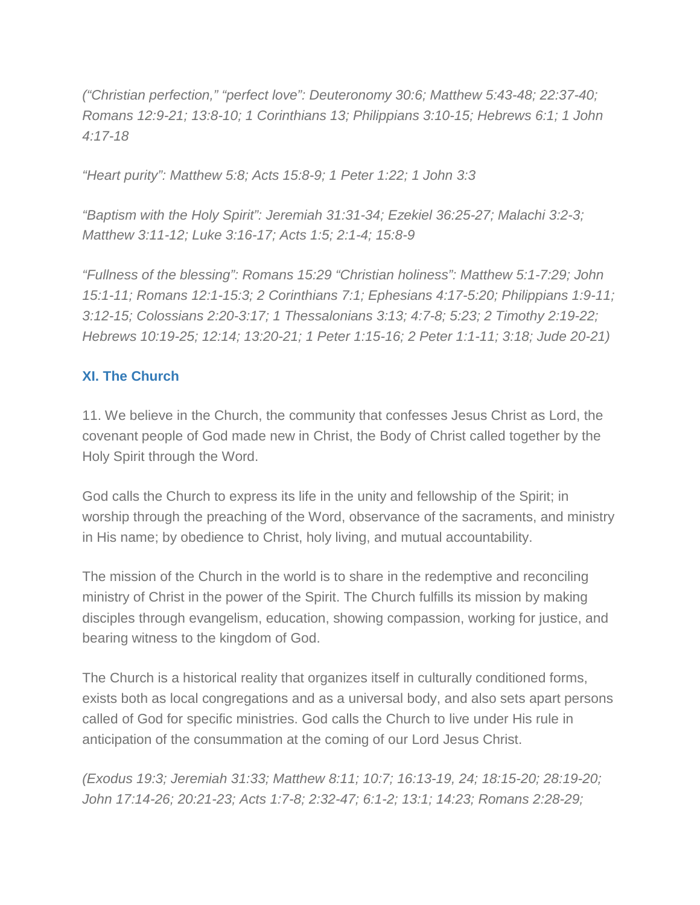*("Christian perfection," "perfect love": Deuteronomy 30:6; Matthew 5:43-48; 22:37-40; Romans 12:9-21; 13:8-10; 1 Corinthians 13; Philippians 3:10-15; Hebrews 6:1; 1 John 4:17-18*

*"Heart purity": Matthew 5:8; Acts 15:8-9; 1 Peter 1:22; 1 John 3:3*

*"Baptism with the Holy Spirit": Jeremiah 31:31-34; Ezekiel 36:25-27; Malachi 3:2-3; Matthew 3:11-12; Luke 3:16-17; Acts 1:5; 2:1-4; 15:8-9*

*"Fullness of the blessing": Romans 15:29 "Christian holiness": Matthew 5:1-7:29; John 15:1-11; Romans 12:1-15:3; 2 Corinthians 7:1; Ephesians 4:17-5:20; Philippians 1:9-11; 3:12-15; Colossians 2:20-3:17; 1 Thessalonians 3:13; 4:7-8; 5:23; 2 Timothy 2:19-22; Hebrews 10:19-25; 12:14; 13:20-21; 1 Peter 1:15-16; 2 Peter 1:1-11; 3:18; Jude 20-21)*

#### **[XI. The Church](http://nazarene.org/articles-faith)**

11. We believe in the Church, the community that confesses Jesus Christ as Lord, the covenant people of God made new in Christ, the Body of Christ called together by the Holy Spirit through the Word.

God calls the Church to express its life in the unity and fellowship of the Spirit; in worship through the preaching of the Word, observance of the sacraments, and ministry in His name; by obedience to Christ, holy living, and mutual accountability.

The mission of the Church in the world is to share in the redemptive and reconciling ministry of Christ in the power of the Spirit. The Church fulfills its mission by making disciples through evangelism, education, showing compassion, working for justice, and bearing witness to the kingdom of God.

The Church is a historical reality that organizes itself in culturally conditioned forms, exists both as local congregations and as a universal body, and also sets apart persons called of God for specific ministries. God calls the Church to live under His rule in anticipation of the consummation at the coming of our Lord Jesus Christ.

*(Exodus 19:3; Jeremiah 31:33; Matthew 8:11; 10:7; 16:13-19, 24; 18:15-20; 28:19-20; John 17:14-26; 20:21-23; Acts 1:7-8; 2:32-47; 6:1-2; 13:1; 14:23; Romans 2:28-29;*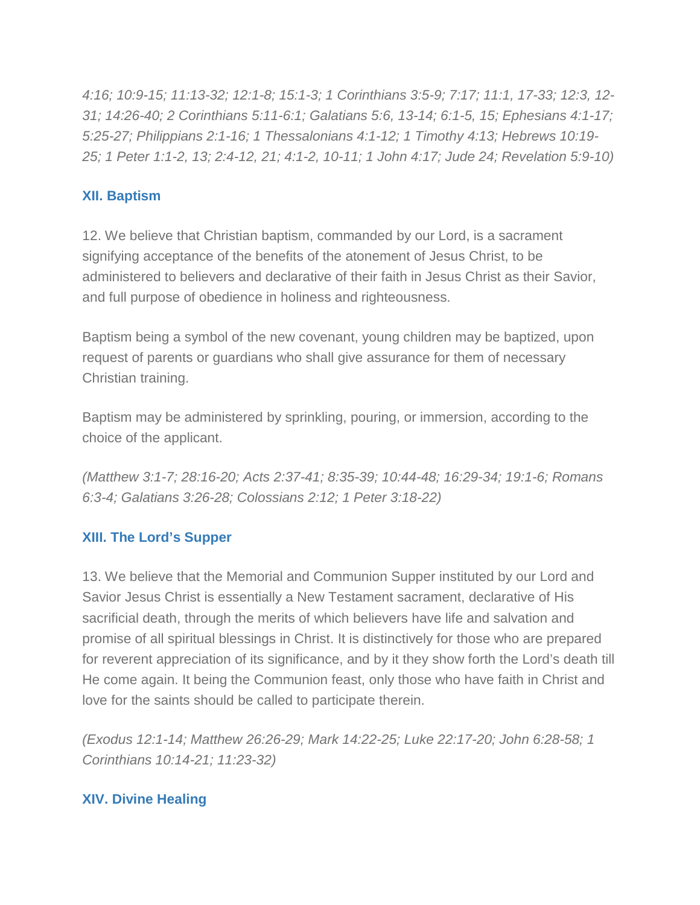*4:16; 10:9-15; 11:13-32; 12:1-8; 15:1-3; 1 Corinthians 3:5-9; 7:17; 11:1, 17-33; 12:3, 12- 31; 14:26-40; 2 Corinthians 5:11-6:1; Galatians 5:6, 13-14; 6:1-5, 15; Ephesians 4:1-17; 5:25-27; Philippians 2:1-16; 1 Thessalonians 4:1-12; 1 Timothy 4:13; Hebrews 10:19- 25; 1 Peter 1:1-2, 13; 2:4-12, 21; 4:1-2, 10-11; 1 John 4:17; Jude 24; Revelation 5:9-10)*

### **[XII. Baptism](http://nazarene.org/articles-faith)**

12. We believe that Christian baptism, commanded by our Lord, is a sacrament signifying acceptance of the benefits of the atonement of Jesus Christ, to be administered to believers and declarative of their faith in Jesus Christ as their Savior, and full purpose of obedience in holiness and righteousness.

Baptism being a symbol of the new covenant, young children may be baptized, upon request of parents or guardians who shall give assurance for them of necessary Christian training.

Baptism may be administered by sprinkling, pouring, or immersion, according to the choice of the applicant.

*(Matthew 3:1-7; 28:16-20; Acts 2:37-41; 8:35-39; 10:44-48; 16:29-34; 19:1-6; Romans 6:3-4; Galatians 3:26-28; Colossians 2:12; 1 Peter 3:18-22)*

# **[XIII. The Lord's Supper](http://nazarene.org/articles-faith)**

13. We believe that the Memorial and Communion Supper instituted by our Lord and Savior Jesus Christ is essentially a New Testament sacrament, declarative of His sacrificial death, through the merits of which believers have life and salvation and promise of all spiritual blessings in Christ. It is distinctively for those who are prepared for reverent appreciation of its significance, and by it they show forth the Lord's death till He come again. It being the Communion feast, only those who have faith in Christ and love for the saints should be called to participate therein.

*(Exodus 12:1-14; Matthew 26:26-29; Mark 14:22-25; Luke 22:17-20; John 6:28-58; 1 Corinthians 10:14-21; 11:23-32)*

#### **[XIV. Divine Healing](http://nazarene.org/articles-faith)**